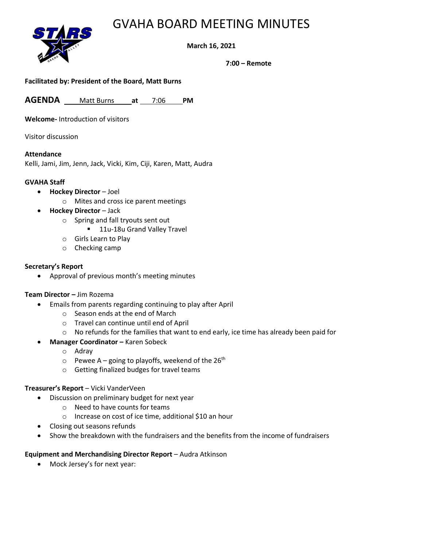# GVAHA BOARD MEETING MINUTES



### **March 16, 2021**

**7:00 – Remote**

### **Facilitated by: President of the Board, Matt Burns**

**AGENDA** Matt Burns **at** 7:06 **PM**

**Welcome-** Introduction of visitors

Visitor discussion

#### **Attendance**

Kelli, Jami, Jim, Jenn, Jack, Vicki, Kim, Ciji, Karen, Matt, Audra

### **GVAHA Staff**

- **Hockey Director** Joel
	- o Mites and cross ice parent meetings
- **Hockey Director** Jack
	- o Spring and fall tryouts sent out
		- 11u-18u Grand Valley Travel
	- o Girls Learn to Play
	- o Checking camp

#### **Secretary's Report**

• Approval of previous month's meeting minutes

### **Team Director –** Jim Rozema

- Emails from parents regarding continuing to play after April
	- o Season ends at the end of March
	- o Travel can continue until end of April
	- $\circ$  No refunds for the families that want to end early, ice time has already been paid for
- **Manager Coordinator –** Karen Sobeck
	- o Adray
	- $\circ$  Pewee A going to playoffs, weekend of the 26<sup>th</sup>
	- o Getting finalized budges for travel teams

### **Treasurer's Report** – Vicki VanderVeen

- Discussion on preliminary budget for next year
	- o Need to have counts for teams
		- o Increase on cost of ice time, additional \$10 an hour
- Closing out seasons refunds
- Show the breakdown with the fundraisers and the benefits from the income of fundraisers

### **Equipment and Merchandising Director Report** – Audra Atkinson

• Mock Jersey's for next year: